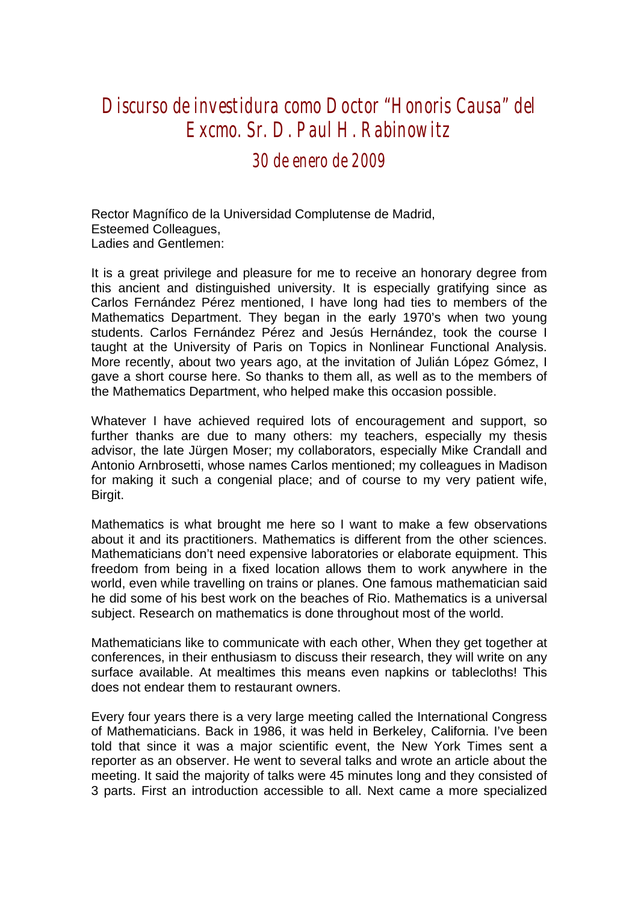## *Discurso de investidura como Doctor "Honoris Causa" del Excmo. Sr. D. Paul H. Rabinowitz*

*30 de enero de 2009* 

Rector Magnífico de la Universidad Complutense de Madrid, Esteemed Colleagues, Ladies and Gentlemen:

It is a great privilege and pleasure for me to receive an honorary degree from this ancient and distinguished university. It is especially gratifying since as Carlos Fernández Pérez mentioned, I have long had ties to members of the Mathematics Department. They began in the early 1970's when two young students. Carlos Fernández Pérez and Jesús Hernández, took the course I taught at the University of Paris on Topics in Nonlinear Functional Analysis. More recently, about two years ago, at the invitation of Julián López Gómez, I gave a short course here. So thanks to them all, as well as to the members of the Mathematics Department, who helped make this occasion possible.

Whatever I have achieved required lots of encouragement and support, so further thanks are due to many others: my teachers, especially my thesis advisor, the late Jürgen Moser; my collaborators, especially Mike Crandall and Antonio Arnbrosetti, whose names Carlos mentioned; my colleagues in Madison for making it such a congenial place; and of course to my very patient wife, Birgit.

Mathematics is what brought me here so I want to make a few observations about it and its practitioners. Mathematics is different from the other sciences. Mathematicians don't need expensive laboratories or elaborate equipment. This freedom from being in a fixed location allows them to work anywhere in the world, even while travelling on trains or planes. One famous mathematician said he did some of his best work on the beaches of Rio. Mathematics is a universal subject. Research on mathematics is done throughout most of the world.

Mathematicians like to communicate with each other, When they get together at conferences, in their enthusiasm to discuss their research, they will write on any surface available. At mealtimes this means even napkins or tablecloths! This does not endear them to restaurant owners.

Every four years there is a very large meeting called the International Congress of Mathematicians. Back in 1986, it was held in Berkeley, California. I've been told that since it was a major scientific event, the New York Times sent a reporter as an observer. He went to several talks and wrote an article about the meeting. It said the majority of talks were 45 minutes long and they consisted of 3 parts. First an introduction accessible to all. Next came a more specialized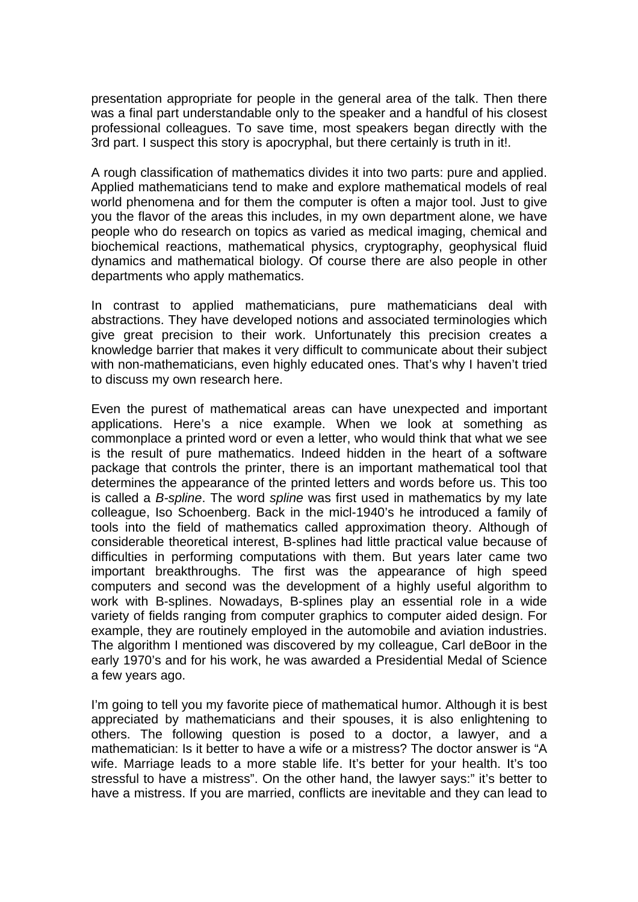presentation appropriate for people in the general area of the talk. Then there was a final part understandable only to the speaker and a handful of his closest professional colleagues. To save time, most speakers began directly with the 3rd part. I suspect this story is apocryphal, but there certainly is truth in it!.

A rough classification of mathematics divides it into two parts: pure and applied. Applied mathematicians tend to make and explore mathematical models of real world phenomena and for them the computer is often a major tool. Just to give you the flavor of the areas this includes, in my own department alone, we have people who do research on topics as varied as medical imaging, chemical and biochemical reactions, mathematical physics, cryptography, geophysical fluid dynamics and mathematical biology. Of course there are also people in other departments who apply mathematics.

In contrast to applied mathematicians, pure mathematicians deal with abstractions. They have developed notions and associated terminologies which give great precision to their work. Unfortunately this precision creates a knowledge barrier that makes it very difficult to communicate about their subject with non-mathematicians, even highly educated ones. That's why I haven't tried to discuss my own research here.

Even the purest of mathematical areas can have unexpected and important applications. Here's a nice example. When we look at something as commonplace a printed word or even a letter, who would think that what we see is the result of pure mathematics. Indeed hidden in the heart of a software package that controls the printer, there is an important mathematical tool that determines the appearance of the printed letters and words before us. This too is called a *B-spline*. The word *spline* was first used in mathematics by my late colleague, Iso Schoenberg. Back in the micl-1940's he introduced a family of tools into the field of mathematics called approximation theory. Although of considerable theoretical interest, B-splines had little practical value because of difficulties in performing computations with them. But years later came two important breakthroughs. The first was the appearance of high speed computers and second was the development of a highly useful algorithm to work with B-splines. Nowadays, B-splines play an essential role in a wide variety of fields ranging from computer graphics to computer aided design. For example, they are routinely employed in the automobile and aviation industries. The algorithm I mentioned was discovered by my colleague, Carl deBoor in the early 1970's and for his work, he was awarded a Presidential Medal of Science a few years ago.

I'm going to tell you my favorite piece of mathematical humor. Although it is best appreciated by mathematicians and their spouses, it is also enlightening to others. The following question is posed to a doctor, a lawyer, and a mathematician: Is it better to have a wife or a mistress? The doctor answer is "A wife. Marriage leads to a more stable life. It's better for your health. It's too stressful to have a mistress". On the other hand, the lawyer says:" it's better to have a mistress. If you are married, conflicts are inevitable and they can lead to